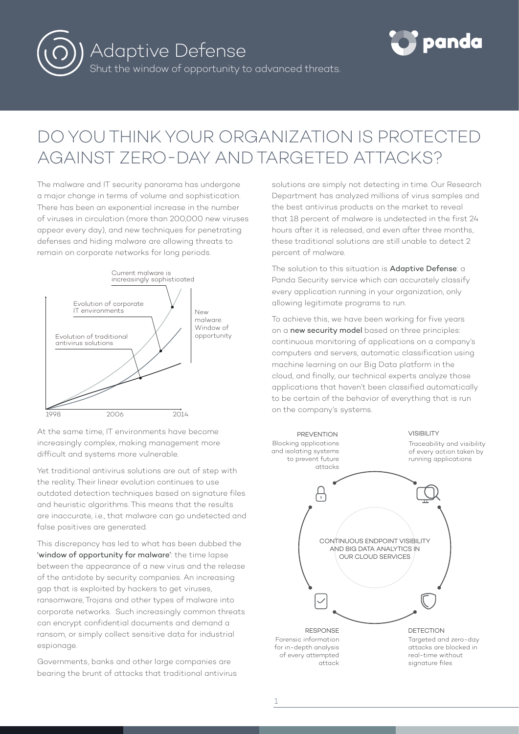



# DO YOU THINK YOUR ORGANIZATION IS PROTECTED AGAINST ZERO-DAY AND TARGETED ATTACKS?

The malware and IT security panorama has undergone a major change in terms of volume and sophistication. There has been an exponential increase in the number of viruses in circulation (more than 200,000 new viruses appear every day), and new techniques for penetrating defenses and hiding malware are allowing threats to remain on corporate networks for long periods.



At the same time, IT environments have become increasingly complex, making management more difficult and systems more vulnerable.

Yet traditional antivirus solutions are out of step with the reality. Their linear evolution continues to use outdated detection techniques based on signature files and heuristic algorithms. This means that the results are inaccurate, i.e., that malware can go undetected and false positives are generated.

This discrepancy has led to what has been dubbed the 'window of opportunity for malware': the time lapse between the appearance of a new virus and the release of the antidote by security companies. An increasing gap that is exploited by hackers to get viruses, ransomware, Trojans and other types of malware into corporate networks. Such increasingly common threats can encrypt confidential documents and demand a ransom, or simply collect sensitive data for industrial espionage.

Governments, banks and other large companies are bearing the brunt of attacks that traditional antivirus solutions are simply not detecting in time. Our Research Department has analyzed millions of virus samples and the best antivirus products on the market to reveal that 18 percent of malware is undetected in the first 24 hours after it is released, and even after three months, these traditional solutions are still unable to detect 2 percent of malware.

The solution to this situation is Adaptive Defense: a Panda Security service which can accurately classify every application running in your organization, only allowing legitimate programs to run.

To achieve this, we have been working for five years on a new security model based on three principles: continuous monitoring of applications on a company's computers and servers, automatic classification using machine learning on our Big Data platform in the cloud, and finally, our technical experts analyze those applications that haven't been classified automatically to be certain of the behavior of everything that is run on the company's systems.